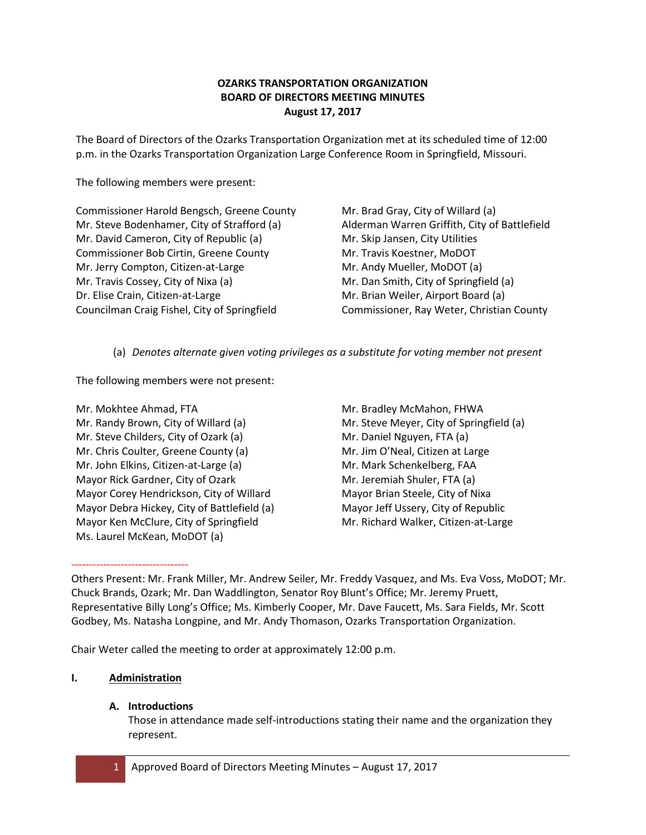# **OZARKS TRANSPORTATION ORGANIZATION BOARD OF DIRECTORS MEETING MINUTES August 17, 2017**

The Board of Directors of the Ozarks Transportation Organization met at its scheduled time of 12:00 p.m. in the Ozarks Transportation Organization Large Conference Room in Springfield, Missouri.

The following members were present:

Commissioner Harold Bengsch, Greene County Mr. Steve Bodenhamer, City of Strafford (a) Mr. David Cameron, City of Republic (a) Commissioner Bob Cirtin, Greene County Mr. Jerry Compton, Citizen-at-Large Mr. Travis Cossey, City of Nixa (a) Dr. Elise Crain, Citizen-at-Large Councilman Craig Fishel, City of Springfield

Mr. Brad Gray, City of Willard (a) Alderman Warren Griffith, City of Battlefield Mr. Skip Jansen, City Utilities Mr. Travis Koestner, MoDOT Mr. Andy Mueller, MoDOT (a) Mr. Dan Smith, City of Springfield (a) Mr. Brian Weiler, Airport Board (a) Commissioner, Ray Weter, Christian County

(a) *Denotes alternate given voting privileges as a substitute for voting member not present*

The following members were not present:

- Mr. Mokhtee Ahmad, FTA Mr. Randy Brown, City of Willard (a) Mr. Steve Childers, City of Ozark (a) Mr. Chris Coulter, Greene County (a) Mr. John Elkins, Citizen-at-Large (a) Mayor Rick Gardner, City of Ozark Mayor Corey Hendrickson, City of Willard Mayor Debra Hickey, City of Battlefield (a) Mayor Ken McClure, City of Springfield Ms. Laurel McKean, MoDOT (a)
- Mr. Bradley McMahon, FHWA Mr. Steve Meyer, City of Springfield (a) Mr. Daniel Nguyen, FTA (a) Mr. Jim O'Neal, Citizen at Large Mr. Mark Schenkelberg, FAA Mr. Jeremiah Shuler, FTA (a) Mayor Brian Steele, City of Nixa Mayor Jeff Ussery, City of Republic Mr. Richard Walker, Citizen-at-Large

Others Present: Mr. Frank Miller, Mr. Andrew Seiler, Mr. Freddy Vasquez, and Ms. Eva Voss, MoDOT; Mr. Chuck Brands, Ozark; Mr. Dan Waddlington, Senator Roy Blunt's Office; Mr. Jeremy Pruett, Representative Billy Long's Office; Ms. Kimberly Cooper, Mr. Dave Faucett, Ms. Sara Fields, Mr. Scott Godbey, Ms. Natasha Longpine, and Mr. Andy Thomason, Ozarks Transportation Organization.

Chair Weter called the meeting to order at approximately 12:00 p.m.

# **I. Administration**

---------------------------------

# **A. Introductions**

Those in attendance made self-introductions stating their name and the organization they represent.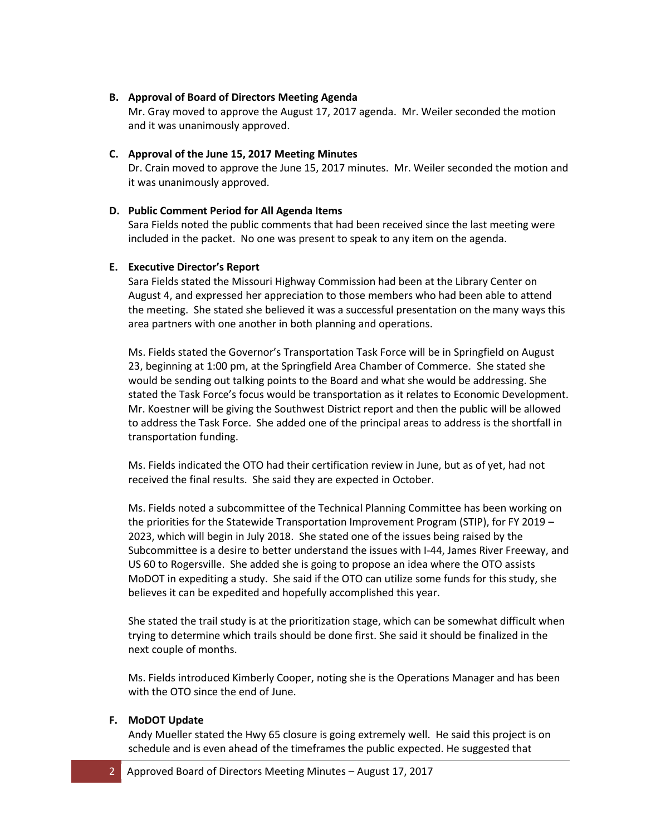# **B. Approval of Board of Directors Meeting Agenda**

Mr. Gray moved to approve the August 17, 2017 agenda. Mr. Weiler seconded the motion and it was unanimously approved.

## **C. Approval of the June 15, 2017 Meeting Minutes**

Dr. Crain moved to approve the June 15, 2017 minutes. Mr. Weiler seconded the motion and it was unanimously approved.

### **D. Public Comment Period for All Agenda Items**

Sara Fields noted the public comments that had been received since the last meeting were included in the packet. No one was present to speak to any item on the agenda.

### **E. Executive Director's Report**

Sara Fields stated the Missouri Highway Commission had been at the Library Center on August 4, and expressed her appreciation to those members who had been able to attend the meeting. She stated she believed it was a successful presentation on the many ways this area partners with one another in both planning and operations.

Ms. Fields stated the Governor's Transportation Task Force will be in Springfield on August 23, beginning at 1:00 pm, at the Springfield Area Chamber of Commerce. She stated she would be sending out talking points to the Board and what she would be addressing. She stated the Task Force's focus would be transportation as it relates to Economic Development. Mr. Koestner will be giving the Southwest District report and then the public will be allowed to address the Task Force. She added one of the principal areas to address is the shortfall in transportation funding.

Ms. Fields indicated the OTO had their certification review in June, but as of yet, had not received the final results. She said they are expected in October.

Ms. Fields noted a subcommittee of the Technical Planning Committee has been working on the priorities for the Statewide Transportation Improvement Program (STIP), for FY 2019 – 2023, which will begin in July 2018. She stated one of the issues being raised by the Subcommittee is a desire to better understand the issues with I-44, James River Freeway, and US 60 to Rogersville. She added she is going to propose an idea where the OTO assists MoDOT in expediting a study. She said if the OTO can utilize some funds for this study, she believes it can be expedited and hopefully accomplished this year.

She stated the trail study is at the prioritization stage, which can be somewhat difficult when trying to determine which trails should be done first. She said it should be finalized in the next couple of months.

Ms. Fields introduced Kimberly Cooper, noting she is the Operations Manager and has been with the OTO since the end of June.

### **F. MoDOT Update**

Andy Mueller stated the Hwy 65 closure is going extremely well. He said this project is on schedule and is even ahead of the timeframes the public expected. He suggested that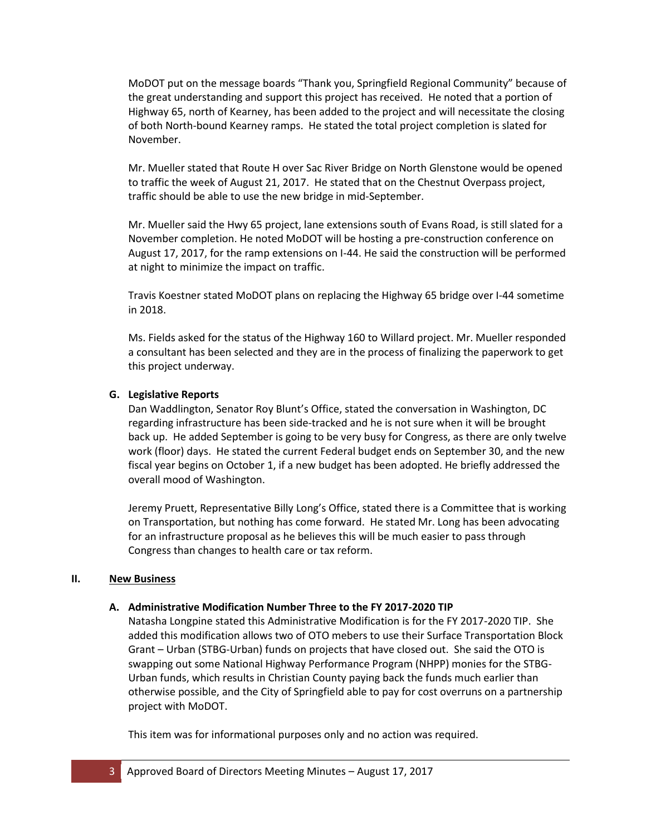MoDOT put on the message boards "Thank you, Springfield Regional Community" because of the great understanding and support this project has received. He noted that a portion of Highway 65, north of Kearney, has been added to the project and will necessitate the closing of both North-bound Kearney ramps. He stated the total project completion is slated for November.

Mr. Mueller stated that Route H over Sac River Bridge on North Glenstone would be opened to traffic the week of August 21, 2017. He stated that on the Chestnut Overpass project, traffic should be able to use the new bridge in mid-September.

Mr. Mueller said the Hwy 65 project, lane extensions south of Evans Road, is still slated for a November completion. He noted MoDOT will be hosting a pre-construction conference on August 17, 2017, for the ramp extensions on I-44. He said the construction will be performed at night to minimize the impact on traffic.

Travis Koestner stated MoDOT plans on replacing the Highway 65 bridge over I-44 sometime in 2018.

Ms. Fields asked for the status of the Highway 160 to Willard project. Mr. Mueller responded a consultant has been selected and they are in the process of finalizing the paperwork to get this project underway.

# **G. Legislative Reports**

Dan Waddlington, Senator Roy Blunt's Office, stated the conversation in Washington, DC regarding infrastructure has been side-tracked and he is not sure when it will be brought back up. He added September is going to be very busy for Congress, as there are only twelve work (floor) days. He stated the current Federal budget ends on September 30, and the new fiscal year begins on October 1, if a new budget has been adopted. He briefly addressed the overall mood of Washington.

Jeremy Pruett, Representative Billy Long's Office, stated there is a Committee that is working on Transportation, but nothing has come forward. He stated Mr. Long has been advocating for an infrastructure proposal as he believes this will be much easier to pass through Congress than changes to health care or tax reform.

# **II. New Business**

# **A. Administrative Modification Number Three to the FY 2017-2020 TIP**

Natasha Longpine stated this Administrative Modification is for the FY 2017-2020 TIP. She added this modification allows two of OTO mebers to use their Surface Transportation Block Grant – Urban (STBG-Urban) funds on projects that have closed out. She said the OTO is swapping out some National Highway Performance Program (NHPP) monies for the STBG-Urban funds, which results in Christian County paying back the funds much earlier than otherwise possible, and the City of Springfield able to pay for cost overruns on a partnership project with MoDOT.

This item was for informational purposes only and no action was required.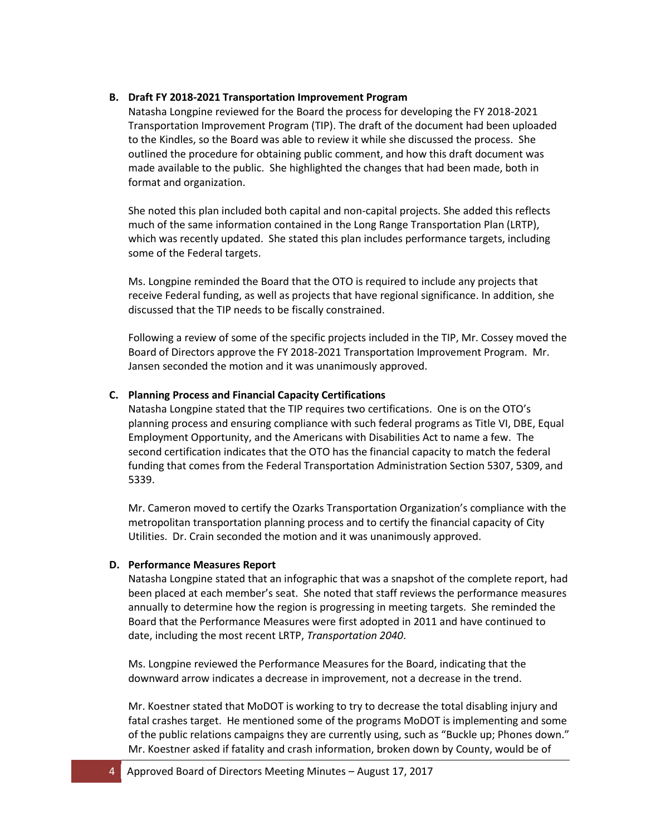# **B. Draft FY 2018-2021 Transportation Improvement Program**

Natasha Longpine reviewed for the Board the process for developing the FY 2018-2021 Transportation Improvement Program (TIP). The draft of the document had been uploaded to the Kindles, so the Board was able to review it while she discussed the process. She outlined the procedure for obtaining public comment, and how this draft document was made available to the public. She highlighted the changes that had been made, both in format and organization.

She noted this plan included both capital and non-capital projects. She added this reflects much of the same information contained in the Long Range Transportation Plan (LRTP), which was recently updated. She stated this plan includes performance targets, including some of the Federal targets.

Ms. Longpine reminded the Board that the OTO is required to include any projects that receive Federal funding, as well as projects that have regional significance. In addition, she discussed that the TIP needs to be fiscally constrained.

Following a review of some of the specific projects included in the TIP, Mr. Cossey moved the Board of Directors approve the FY 2018-2021 Transportation Improvement Program. Mr. Jansen seconded the motion and it was unanimously approved.

### **C. Planning Process and Financial Capacity Certifications**

Natasha Longpine stated that the TIP requires two certifications. One is on the OTO's planning process and ensuring compliance with such federal programs as Title VI, DBE, Equal Employment Opportunity, and the Americans with Disabilities Act to name a few. The second certification indicates that the OTO has the financial capacity to match the federal funding that comes from the Federal Transportation Administration Section 5307, 5309, and 5339.

Mr. Cameron moved to certify the Ozarks Transportation Organization's compliance with the metropolitan transportation planning process and to certify the financial capacity of City Utilities. Dr. Crain seconded the motion and it was unanimously approved.

### **D. Performance Measures Report**

Natasha Longpine stated that an infographic that was a snapshot of the complete report, had been placed at each member's seat. She noted that staff reviews the performance measures annually to determine how the region is progressing in meeting targets. She reminded the Board that the Performance Measures were first adopted in 2011 and have continued to date, including the most recent LRTP, *Transportation 2040*.

Ms. Longpine reviewed the Performance Measures for the Board, indicating that the downward arrow indicates a decrease in improvement, not a decrease in the trend.

Mr. Koestner stated that MoDOT is working to try to decrease the total disabling injury and fatal crashes target. He mentioned some of the programs MoDOT is implementing and some of the public relations campaigns they are currently using, such as "Buckle up; Phones down." Mr. Koestner asked if fatality and crash information, broken down by County, would be of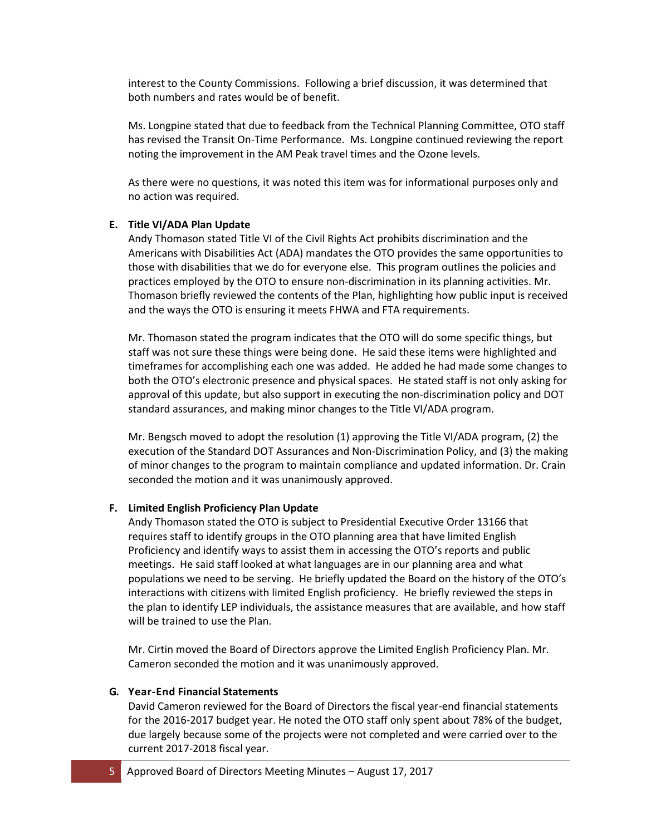interest to the County Commissions. Following a brief discussion, it was determined that both numbers and rates would be of benefit.

Ms. Longpine stated that due to feedback from the Technical Planning Committee, OTO staff has revised the Transit On-Time Performance. Ms. Longpine continued reviewing the report noting the improvement in the AM Peak travel times and the Ozone levels.

As there were no questions, it was noted this item was for informational purposes only and no action was required.

### **E. Title VI/ADA Plan Update**

Andy Thomason stated Title VI of the Civil Rights Act prohibits discrimination and the Americans with Disabilities Act (ADA) mandates the OTO provides the same opportunities to those with disabilities that we do for everyone else. This program outlines the policies and practices employed by the OTO to ensure non-discrimination in its planning activities. Mr. Thomason briefly reviewed the contents of the Plan, highlighting how public input is received and the ways the OTO is ensuring it meets FHWA and FTA requirements.

Mr. Thomason stated the program indicates that the OTO will do some specific things, but staff was not sure these things were being done. He said these items were highlighted and timeframes for accomplishing each one was added. He added he had made some changes to both the OTO's electronic presence and physical spaces. He stated staff is not only asking for approval of this update, but also support in executing the non-discrimination policy and DOT standard assurances, and making minor changes to the Title VI/ADA program.

Mr. Bengsch moved to adopt the resolution (1) approving the Title VI/ADA program, (2) the execution of the Standard DOT Assurances and Non-Discrimination Policy, and (3) the making of minor changes to the program to maintain compliance and updated information. Dr. Crain seconded the motion and it was unanimously approved.

#### **F. Limited English Proficiency Plan Update**

Andy Thomason stated the OTO is subject to Presidential Executive Order 13166 that requires staff to identify groups in the OTO planning area that have limited English Proficiency and identify ways to assist them in accessing the OTO's reports and public meetings. He said staff looked at what languages are in our planning area and what populations we need to be serving. He briefly updated the Board on the history of the OTO's interactions with citizens with limited English proficiency. He briefly reviewed the steps in the plan to identify LEP individuals, the assistance measures that are available, and how staff will be trained to use the Plan.

Mr. Cirtin moved the Board of Directors approve the Limited English Proficiency Plan. Mr. Cameron seconded the motion and it was unanimously approved.

#### **G. Year-End Financial Statements**

David Cameron reviewed for the Board of Directors the fiscal year-end financial statements for the 2016-2017 budget year. He noted the OTO staff only spent about 78% of the budget, due largely because some of the projects were not completed and were carried over to the current 2017-2018 fiscal year.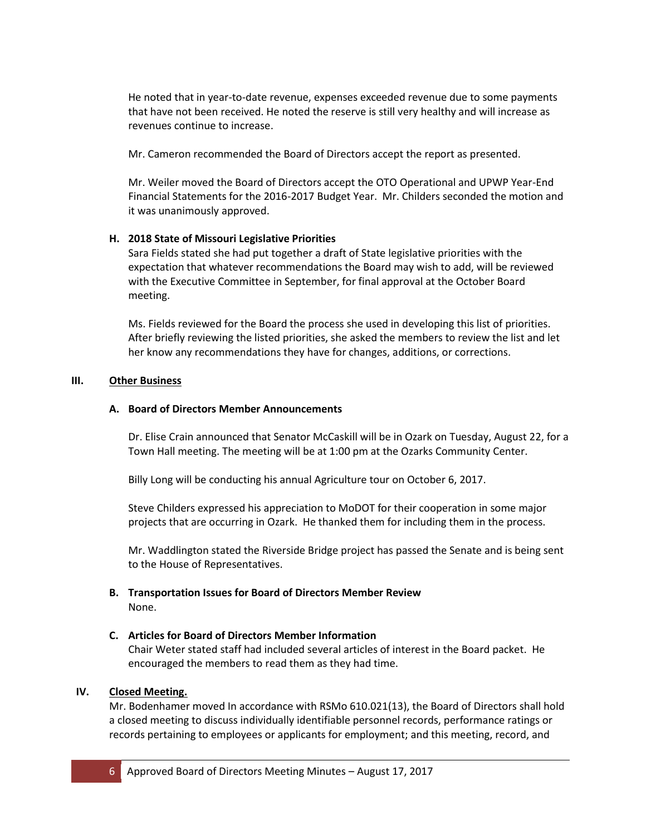He noted that in year-to-date revenue, expenses exceeded revenue due to some payments that have not been received. He noted the reserve is still very healthy and will increase as revenues continue to increase.

Mr. Cameron recommended the Board of Directors accept the report as presented.

Mr. Weiler moved the Board of Directors accept the OTO Operational and UPWP Year-End Financial Statements for the 2016-2017 Budget Year. Mr. Childers seconded the motion and it was unanimously approved.

# **H. 2018 State of Missouri Legislative Priorities**

Sara Fields stated she had put together a draft of State legislative priorities with the expectation that whatever recommendations the Board may wish to add, will be reviewed with the Executive Committee in September, for final approval at the October Board meeting.

Ms. Fields reviewed for the Board the process she used in developing this list of priorities. After briefly reviewing the listed priorities, she asked the members to review the list and let her know any recommendations they have for changes, additions, or corrections.

# **III. Other Business**

# **A. Board of Directors Member Announcements**

Dr. Elise Crain announced that Senator McCaskill will be in Ozark on Tuesday, August 22, for a Town Hall meeting. The meeting will be at 1:00 pm at the Ozarks Community Center.

Billy Long will be conducting his annual Agriculture tour on October 6, 2017.

Steve Childers expressed his appreciation to MoDOT for their cooperation in some major projects that are occurring in Ozark. He thanked them for including them in the process.

Mr. Waddlington stated the Riverside Bridge project has passed the Senate and is being sent to the House of Representatives.

**B. Transportation Issues for Board of Directors Member Review** None.

# **C. Articles for Board of Directors Member Information**

Chair Weter stated staff had included several articles of interest in the Board packet. He encouraged the members to read them as they had time.

# **IV. Closed Meeting.**

Mr. Bodenhamer moved In accordance with RSMo 610.021(13), the Board of Directors shall hold a closed meeting to discuss individually identifiable personnel records, performance ratings or records pertaining to employees or applicants for employment; and this meeting, record, and